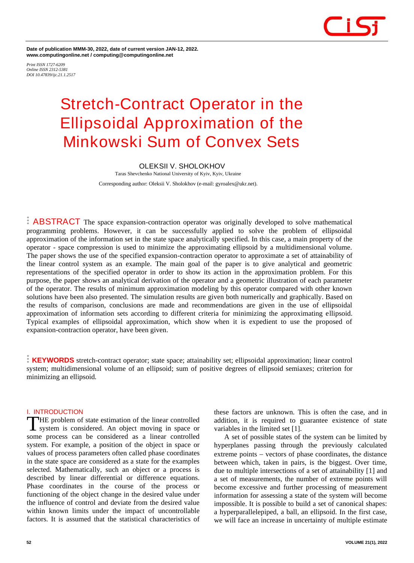

**Date of publication MMM-30, 2022, date of current version JAN-12, 2022. www.computingonline.net / computing@computingonline.net**

*Print ISSN 1727-6209 Online ISSN 2312-5381 DOI 10.47839/ijc.21.1.2517*

# **Stretch-Contract Operator in the Ellipsoidal Approximation of the Minkowski Sum of Convex Sets**

# **OLEKSII V. SHOLOKHOV**

Taras Shevchenko National University of Kyiv, Kyiv, Ukraine Corresponding author: Oleksii V. Sholokhov (e-mail: gyroalex@ukr.net).

**ABSTRACT** The space expansion-contraction operator was originally developed to solve mathematical programming problems. However, it can be successfully applied to solve the problem of ellipsoidal approximation of the information set in the state space analytically specified. In this case, a main property of the operator - space compression is used to minimize the approximating ellipsoid by a multidimensional volume. The paper shows the use of the specified expansion-contraction operator to approximate a set of attainability of the linear control system as an example. The main goal of the paper is to give analytical and geometric representations of the specified operator in order to show its action in the approximation problem. For this purpose, the paper shows an analytical derivation of the operator and a geometric illustration of each parameter of the operator. The results of minimum approximation modeling by this operator compared with other known solutions have been also presented. The simulation results are given both numerically and graphically. Based on the results of comparison, conclusions are made and recommendations are given in the use of ellipsoidal approximation of information sets according to different criteria for minimizing the approximating ellipsoid. Typical examples of ellipsoidal approximation, which show when it is expedient to use the proposed of expansion-contraction operator, have been given.

**KEYWORDS** stretch-contract operator; state space; attainability set; ellipsoidal approximation; linear control system; multidimensional volume of an ellipsoid; sum of positive degrees of ellipsoid semiaxes; criterion for minimizing an ellipsoid.

## **I. INTRODUCTION**

HE problem of state estimation of the linear controlled system is considered. An object moving in space or THE problem of state estimation of the linear controlled<br>system is considered. An object moving in space or<br>some process can be considered as a linear controlled system. For example, a position of the object in space or values of process parameters often called phase coordinates in the state space are considered as a state for the examples selected. Mathematically, such an object or a process is described by linear differential or difference equations. Phase coordinates in the course of the process or functioning of the object change in the desired value under the influence of control and deviate from the desired value within known limits under the impact of uncontrollable factors. It is assumed that the statistical characteristics of

these factors are unknown. This is often the case, and in addition, it is required to guarantee existence of state variables in the limited set [1].

A set of possible states of the system can be limited by hyperplanes passing through the previously calculated extreme points − vectors of phase coordinates, the distance between which, taken in pairs, is the biggest. Over time, due to multiple intersections of a set of attainability [1] and a set of measurements, the number of extreme points will become excessive and further processing of measurement information for assessing a state of the system will become impossible. It is possible to build a set of canonical shapes: a hyperparallelepiped, a ball, an ellipsoid. In the first case, we will face an increase in uncertainty of multiple estimate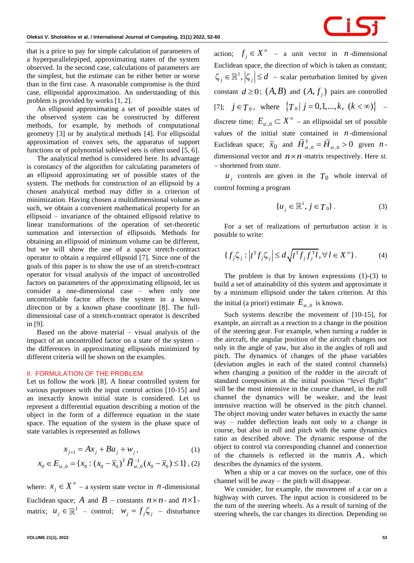

that is a price to pay for simple calculation of parameters of a hyperparallelepiped, approximating states of the system observed. In the second case, calculations of parameters are the simplest, but the estimate can be either better or worse than in the first case. A reasonable compromise is the third case, ellipsoidal approximation. An understanding of this problem is provided by works [1, 2].

An ellipsoid approximating a set of possible states of the observed system can be constructed by different methods, for example, by methods of computational geometry [3] or by analytical methods [4]. For ellipsoidal approximation of convex sets, the apparatus of support functions or of polynomial sublevel sets is often used [5, 6].

The analytical method is considered here. Its advantage is constancy of the algorithm for calculating parameters of an ellipsoid approximating set of possible states of the system. The methods for construction of an ellipsoid by a chosen analytical method may differ in a criterion of minimization. Having chosen a multidimensional volume as such, we obtain a convenient mathematical property for an ellipsoid – invariance of the obtained ellipsoid relative to linear transformations of the operation of set-theoretic summation and intersection of ellipsoids. Methods for obtaining an ellipsoid of minimum volume can be different, but we will show the use of a space stretch-contract operator to obtain a required ellipsoid [7]. Since one of the goals of this paper is to show the use of an stretch-contract operator for visual analysis of the impact of uncontrolled factors on parameters of the approximating ellipsoid, let us consider a one-dimensional case – when only one uncontrollable factor affects the system in a known direction or by a known phase coordinate [8]. The fulldimensional case of a stretch-contract operator is described in [9].

Based on the above material  $-$  visual analysis of the impact of an uncontrolled factor on a state of the system – the differences in approximating ellipsoids minimized by different criteria will be shown on the examples.

### **II. FORMULATION OF THE PROBLEM**

Let us follow the work [8]. A linear controlled system for various purposes with the input control action [10-15] and an inexactly known initial state is considered. Let us represent a differential equation describing a motion of the object in the form of a difference equation in the state space. The equation of the system in the phase space of state variables is represented as follows

$$
x_{j+1} = Ax_j + Bu_j + w_j, \t\t(1)
$$

$$
x_{j+1} = Ax_j + Bu_j + w_j, \qquad (1)
$$
  

$$
x_0 \in E_{st,0} = \{x_0 : (x_0 - \overline{x}_0)^T \overline{H}_{st,0}^{-1}(x_0 - \overline{x}_0) \le 1\}, (2)
$$

where:  $x_i \in X^n$  $x_j \in X^n$  – a system state vector in *n*-dimensional Euclidean space; A and  $B$  – constants  $n \times n$ - and  $n \times 1$ matrix;  $u_j \in \mathbb{R}^1$  – control;  $w_j = f_j \zeta_j$  – disturbance

action;  $f_i \in X^n$  $f_j \in X^n$  – a unit vector in *n*-dimensional Euclidean space, the direction of which is taken as constant;  $\left\langle \zeta_i \in \mathbb{R}^1, \left| \zeta_i \right| \leq d$  – scalar perturbation limited by given constant  $d \geq 0$ ;  $(A, B)$  and  $(A, f_j)$  pairs are controlled [7];  $j \in T_0$ , where  $\{T_0 | j = 0, 1, ..., k, (k < \infty)\}$  – discrete time;  $E_{st,0} \subset X^n$  – an ellipsoidal set of possible values of the initial state contained in  $n$ -dimensional Euclidean space;  $\overline{x}_0$  and  $\overline{H}_{st,0}^T = \overline{H}_{st,0} > 0$  given *n*dimensional vector and  $n \times n$  -matrix respectively. Here *st*. − shortened from *state*.

 $u_j$  controls are given in the  $T_0$  whole interval of control forming a program

$$
\{u_j \in \mathbb{R}^1, j \in T_0\}.
$$
 (3)

For a set of realizations of perturbation action it is possible to write:

$$
\{f_j \zeta_j : \left| l^{\mathrm{T}} f_j \zeta_j \right| \le d \sqrt{l^{\mathrm{T}} f_j f_j^{\mathrm{T}} l}, \forall l \in X^n \}. \tag{4}
$$

The problem is that by known expressions (1)-(3) to build a set of attainability of this system and approximate it by a minimum ellipsoid under the taken criterion. At this the initial (a priori) estimate  $E_{st,0}$  is known.

Such systems describe the movement of [10-15], for example, an aircraft as a reaction to a change in the position of the steering gear. For example, when turning a rudder in the aircraft, the angular position of the aircraft changes not only in the angle of yaw, but also in the angles of roll and pitch. The dynamics of changes of the phase variables (deviation angles in each of the stated control channels) when changing a position of the rudder in the aircraft of standard composition at the initial position "level flight" will be the most intensive in the course channel, in the roll channel the dynamics will be weaker, and the least intensive reaction will be observed in the pitch channel. The object moving under water behaves in exactly the same way – rudder deflection leads not only to a change in course, but also in roll and pitch with the same dynamics ratio as described above. The dynamic response of the object to control via corresponding channel and connection of the channels is reflected in the matrix *A* , which describes the dynamics of the system.

When a ship or a car moves on the surface, one of this channel will be away − the pitch will disappear.

We consider, for example, the movement of a car on a highway with curves. The input action is considered to be the turn of the steering wheels. As a result of turning of the steering wheels, the car changes its direction. Depending on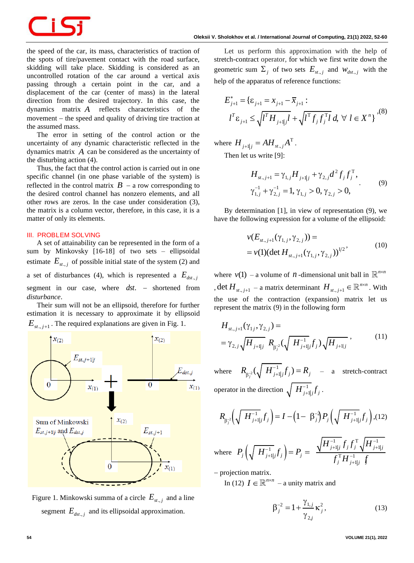the speed of the car, its mass, characteristics of traction of the spots of tire/pavement contact with the road surface, skidding will take place. Skidding is considered as an uncontrolled rotation of the car around a vertical axis passing through a certain point in the car, and a displacement of the car (center of mass) in the lateral direction from the desired trajectory. In this case, the dynamics matrix *A* reflects characteristics of the movement − the speed and quality of driving tire traction at the assumed mass.

The error in setting of the control action or the uncertainty of any dynamic characteristic reflected in the dynamics matrix *A* can be considered as the uncertainty of the disturbing action (4).

Thus, the fact that the control action is carried out in one specific channel (in one phase variable of the system) is reflected in the control matrix  $B - a$  row corresponding to the desired control channel has nonzero elements, and all other rows are zeros. In the case under consideration (3), the matrix is a column vector, therefore, in this case, it is a matter of only its elements.

# **III. PROBLEM SOLVING**

A set of attainability can be represented in the form of a sum by Minkovsky [16-18] of two sets – ellipsoidal estimate  $E_{st,j}$  of possible initial state of the system (2) and a set of disturbances (4), which is represented a  $E_{dst, j}$ segment in our case, where *dst*. – shortened from *disturbance*.

Their sum will not be an ellipsoid, therefore for further estimation it is necessary to approximate it by ellipsoid  $E_{st,j+1}$ . The required explanations are given in Fig. 1.



Figure 1. Minkowski summa of a circle  $E_{st,j}$  and a line segment  $E_{dst,j}$  and its ellipsoidal approximation.

Let us perform this approximation with the help of stretch-contract operator, for which we first write down the geometric sum  $\Sigma_j$  of two sets  $E_{st,j}$  and  $W_{dst,j}$  with the

help of the apparatus of reference functions:  
\n
$$
E_{j+1}^* = \{\varepsilon_{j+1} = x_{j+1} - \overline{x}_{j+1} :
$$
\n
$$
l^T \varepsilon_{j+1} \le \sqrt{l^T H_{j+1,j} l} + \sqrt{l^T f_j f_j^T l} d, \forall l \in X^n \}
$$
\n(8)

where  $H_{j+1|j} = AH_{st,j}A^{T}$ .

Then let us write [9]:

$$
H_{st.,j+1} = \gamma_{1,j} H_{j+1|j} + \gamma_{2,j} d^2 f_j f_j^{\mathrm{T}},
$$
  
\n
$$
\gamma_{1,j}^{-1} + \gamma_{2,j}^{-1} = 1, \gamma_{1,j} > 0, \gamma_{2,j} > 0,
$$
\n(9)

By determination [1], in view of representation (9), we have the following expression for a volume of the ellipsoid:

$$
\nu(E_{st,j+1}(\gamma_{1,j},\gamma_{2,j})) =
$$
  
=  $\nu(1)(\det H_{st,j+1}(\gamma_{1,j},\gamma_{2,j}))^{1/2}$  (10)

where  $v(1)$  – a volume of *n*-dimensional unit ball in  $\mathbb{R}^{n \times n}$ , det  $H_{st,j+1}$  – a matrix determinant  $H_{st,j+1} \in \mathbb{R}^{n \times n}$ . With the use of the contraction (expansion) matrix let us represent the matrix (9) in the following form

$$
H_{st,j+1}(\gamma_{1j},\gamma_{2,j}) =
$$
  
=  $\gamma_{2,j} \sqrt{H_{j+1|j}} R_{\beta_j^{-2}} (\sqrt{H_{j+1|j}^{-1}} f_j) \sqrt{H_{j+1|j}} ,$  (11)

where  $R_{\scriptscriptstyle{\alpha^{-2}}}(\sqrt{H_{\scriptscriptstyle{i+1}}^{-1}})$  $R_{\beta_j^{-2}}(\sqrt{\vert H_{j+1}^{-1}\vert}f_j) = R_j$  $P_{\beta_i^2}(\sqrt{H_{j+1,j}^{-1}}f_j) = R_j$  – a stretch-contract operator in the direction  $\sqrt{H_{j+1j}^{-1}} f_j$  $_{+1|}^1 \textcolor{black}{\textbf{f}}_j$  .

$$
R_{\beta_j^{-2}}\left(\sqrt{H_{j+1|j}^{-1}}f_j\right) = I - \left(1 - \beta_j^{-2}\right)P_j\left(\sqrt{H_{j+1|j}^{-1}}f_j\right), (12)
$$

where  $P_j\left(\sqrt{H_{j+1j}^{-1}}f_j\right)$ :  $\frac{1}{1} f f^T \sqrt{H^{-1}}$  $\frac{1}{1-r} \sum_{i=1}^r P_{i} = \sqrt{H_{j+1|j}^{-1}} f_j f_j^{\mathrm{T}} \sqrt{H_{j+1}^{-1}}$  $\sum_{i,j} f_j$  =  $P_j = \frac{\sqrt{1 + \int_{j+1}^{1} j \cdot j \cdot j \cdot j}}{f_j^{\mathrm{T}} H_{j+1}^{-1}}$  $\overline{\prod_{j+1|j}^{-1}} f_j f_j^\mathrm{T} \sqrt{\pmb{H}_{j+1|j}^{-1}}$  $\frac{1}{j}\left(\sqrt{\left|H_{j+\mathbf{l}|j}^{-1}f_j\right|}\right)=P_j$  $\overline{g_j^{\mathrm{T}}H_{j+1|j}^{-1}}$  *J<sub>j</sub>*  $\overline{H_{j+\mathbf{l}\mid j}^{-1}}f_{j}f_{j}^{\mathrm{T}}\sqrt{H}$  $P_{j}\left(\sqrt{\,\,H_{j+\mathrm{I}|j}^{-1}}f_{j}\,\right)=P_{j}$  $\frac{f_{\mu_1|j}f_jf_j^1\sqrt{I}}{f_j^{\rm T}H_{j\mu_1|j}^{-1}\int_j}$  $\frac{1}{-1}$  f f<sup>T</sup>  $\sqrt{H^{-1}}$  $\frac{1}{(1-t)^{-1}} \int_{-1}^1 \int_{-1}^1 \int_{-1}^1 f_j f_j^{\rm T} \sqrt{H_{j+1|j}^{-1}}$  $_{+1|j}J_j$  |  $^{-1}$  j  $^{-}$   $_{\mathcal{L} \, T}$   $_{\mathcal{L} \, T}$   $_{\mathcal{L} \, T}$  $= P_j = \frac{\sqrt{H_{j+1|j}^{-1}} f_j f_j}{f_j^{\mathrm{T}} H_{j+1}^{-1}}$ 

− projection matrix.

In (12)  $I \in \mathbb{R}^{n \times n}$  – a unity matrix and

$$
\beta_j^{-2} = 1 + \frac{\gamma_{1,j}}{\gamma_{2,j}} \kappa_j^2, \qquad (13)
$$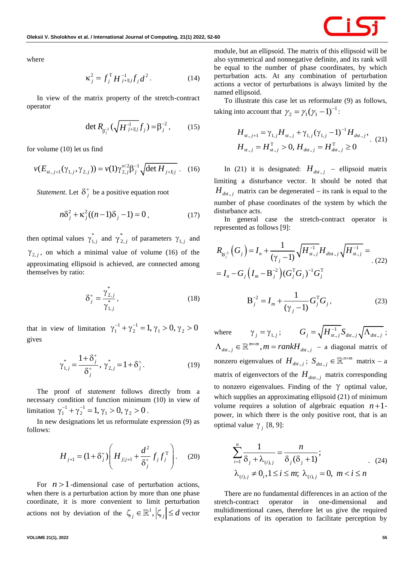

where

$$
\kappa_j^2 = f_j^{\mathrm{T}} H_{j+1|j}^{-1} f_j d^2.
$$
 (14)

In view of the matrix property of the stretch-contract operator

$$
\det R_{\beta_j^{-2}}(\sqrt{H_{j+1|j}} f_j) = \beta_j^{-2}, \qquad (15)
$$

for volume (10) let us find

$$
v(E_{st,j+1}(\gamma_{1,j}, \gamma_{2,j})) = v(1)\gamma_{2,j}^{n/2}\beta_j^{-1} \sqrt{\det H_{j+1,j}}.
$$
 (16)

*Statement.* Let  $\delta_j^*$  $\delta^+$  be a positive equation root

$$
n\delta_j^2 + \kappa_j^2((n-1)\delta_j - 1) = 0, \qquad (17)
$$

then optimal values  $\gamma_1^*$  $\gamma_{1,j}^*$  and  $\gamma_2^*$  $\gamma_{2,j}^*$  of parameters  $\gamma_{1,j}$  and  $\gamma_{2,j}$ , on which a minimal value of volume (16) of the approximating ellipsoid is achieved, are connected among themselves by ratio:

$$
\delta_j^+ = \frac{\gamma_{2,j}^*}{\gamma_{1,j}^*},\tag{18}
$$

that in view of limitation  $\gamma_1^{-1} + \gamma_2^{-1} = 1, \gamma_1 > 0, \gamma_2 > 0$ gives

$$
\gamma_{1,j}^* = \frac{1 + \delta_j^+}{\delta_j^+}, \ \gamma_{2,j}^* = 1 + \delta_j^+.
$$
 (19)

The proof of *statement* follows directly from a necessary condition of function minimum (10) in view of limitation  $\gamma_1^{-1} + \gamma_2^{-1} = 1$ ,  $\gamma_1 > 0$ ,  $\gamma_2 > 0$ .

In new designations let us reformulate expression (9) as follows:

$$
H_{j+1} = (1 + \delta_j^+) \left( H_{j|j+1} + \frac{d^2}{\delta_j^+} f_j f_j^{\mathrm{T}} \right). \tag{20}
$$

For  $n > 1$ -dimensional case of perturbation actions, when there is a perturbation action by more than one phase coordinate, it is more convenient to limit perturbation actions not by deviation of the  $\zeta_j \in \mathbb{R}^1$ ,  $|\zeta_j| \le d$  vector module, but an ellipsoid. The matrix of this ellipsoid will be also symmetrical and nonnegative definite, and its rank will be equal to the number of phase coordinates, by which perturbation acts. At any combination of perturbation actions a vector of perturbations is always limited by the named ellipsoid.

To illustrate this case let us reformulate (9) as follows, taking into account that  $\gamma_2 = \gamma_1(\gamma_1 - 1)^{-1}$  $\gamma_2 = \gamma_1 (\gamma_1 - 1)^{-1}$ :

$$
H_{st.,j+1} = \gamma_{1,j} H_{st.,j} + \gamma_{1,j} (\gamma_{1,j} - 1)^{-1} H_{dst.,j},
$$
  
\n
$$
H_{st.,j} = H_{st.,j}^{\mathrm{T}} > 0, H_{dst.,j} = H_{dst.,j}^{\mathrm{T}} \ge 0
$$
 (21)

In (21) it is designated:  $H_{dst,j}$  – ellipsoid matrix limiting a disturbance vector. It should be noted that  $H_{dst,j}$  matrix can be degenerated – its rank is equal to the number of phase coordinates of the system by which the disturbance acts.

In general case the stretch-contract operator is represented as follows [9]:

$$
R_{B_j^{-2}}(G_j) = I_n + \frac{1}{(\gamma_j - 1)} \sqrt{H_{st,j}^{-1}} H_{dist,j} \sqrt{H_{st,j}^{-1}} =
$$
  
=  $I_n - G_j (I_m - B_j^{-2}) (G_j^T G_j)^{-1} G_j^T$  (22)

$$
B_j^{-2} = I_m + \frac{1}{(\gamma_j - 1)} G_j^{T} G_j,
$$
 (23)

where  $\gamma_{j} = \gamma_{1,j} ;$   $G_{j} = \sqrt{H_{st,j}^{-1}} S_{dst,j} \sqrt{\Lambda_{dst,j}} ;$  $\Lambda_{dst,j} \in \mathbb{R}^{m \times m}, m = rankH_{dst,j} - a$  diagonal matrix of nonzero eigenvalues of  $H_{dst,j}$ ;  $S_{dst,j}$  $S_{dst.,j} \in \mathbb{R}^{n \times m}$  matrix – a matrix of eigenvectors of the  $H_{\text{dist.},j}$  matrix corresponding to nonzero eigenvalues. Finding of the  $\gamma$  optimal value, which supplies an approximating ellipsoid (21) of minimum volume requires a solution of algebraic equation  $n+1$ power, in which there is the only positive root, that is an optimal value  $\gamma$ <sub>*i*</sub> [8, 9]:

$$
\sum_{i=1}^{n} \frac{1}{\delta_j + \lambda_{(i),j}} = \frac{n}{\delta_j(\delta_j + 1)};
$$
\n
$$
\lambda_{(i),j} \neq 0, 1 \le i \le m; \lambda_{(i),j} = 0, m < i \le n
$$
\n(24)

There are no fundamental differences in an action of the stretch-contract operator in one-dimensional and multidimentional cases, therefore let us give the required explanations of its operation to facilitate perception by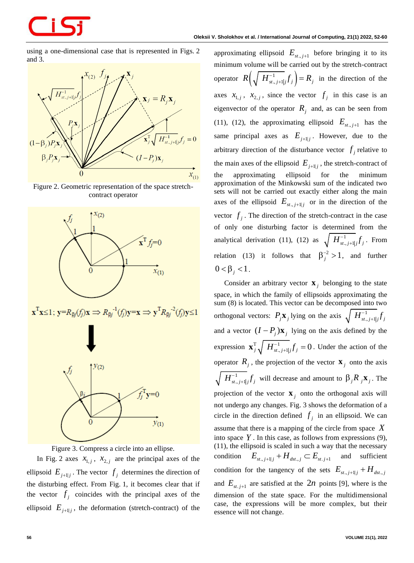using a one-dimensional case that is represented in Figs. 2 and 3.



Figure 2. Geometric representation of the space stretchcontract operator



Figure 3. Compress a circle into an ellipse.

In Fig. 2 axes  $x_{1,j}$ ,  $x_{2,j}$  are the principal axes of the ellipsoid  $E_{j+1|j}$ . The vector  $f_j$  determines the direction of the disturbing effect. From Fig. 1, it becomes clear that if the vector  $f_j$  coincides with the principal axes of the ellipsoid  $E_{j+1|j}$ , the deformation (stretch-contract) of the

approximating ellipsoid  $E_{st,j+1}$  before bringing it to its minimum volume will be carried out by the stretch-contract operator  $R\left(\sqrt{\frac{H^{-1}_{st,j+1}}{H^{-1}_{st,j}}}f_j\right) = R_j$  $_{+1,j}f_j$  =  $R_j$  in the direction of the axes  $x_{1,j}$ ,  $x_{2,j}$ , since the vector  $f_j$  in this case is an eigenvector of the operator  $R_j$  and, as can be seen from (11), (12), the approximating ellipsoid  $E_{st,j+1}$  has the same principal axes as  $E_{j+1|j}$ . However, due to the arbitrary direction of the disturbance vector  $f_j$  relative to the main axes of the ellipsoid  $E_{j+1|j}$ , the stretch-contract of the approximating ellipsoid for the minimum approximation of the Minkowski sum of the indicated two sets will not be carried out exactly either along the main axes of the ellipsoid  $E_{st, j+1|j}$  or in the direction of the vector  $f_j$ . The direction of the stretch-contract in the case of only one disturbing factor is determined from the analytical derivation (11), (12) as  $\sqrt{H_{st,j+1j}^{-1}f_j}$  $_{+1|j}f_j$ . From relation (13) it follows that  $\beta_j^{-2} > 1$ , and further  $0 < \beta_j < 1$ .

Consider an arbitrary vector  $\mathbf{x}_j$  belonging to the state space, in which the family of ellipsoids approximating the sum (8) is located. This vector can be decomposed into two orthogonal vectors:  $P_j \mathbf{x}_j$  lying on the axis  $\sqrt{H_{st,j+1j}^{-1}f_j}$ + and a vector  $(I - P_j)$ **x**<sub>j</sub> lying on the axis defined by the expression  $\mathbf{x}_{j}^{\mathrm{T}}\sqrt{H_{st,j+1j}^{-1}}f_{j}=0$  $\mathbf{x}_{j}^{\mathrm{T}}\sqrt{H_{\frac{s}{s,j+1}}^{-1}}f_j=0$ . Under the action of the operator  $R_j$ , the projection of the vector  $\mathbf{x}_j$  onto the axis  $H_{\scriptscriptstyle st.,j+1\vert j}^{-1}\!f_j$  $_{+1|j}f_j$  will decrease and amount to  $\beta_j R_j \mathbf{x}_j$ . The projection of the vector  $\mathbf{x}_j$  onto the orthogonal axis will not undergo any changes. Fig. 3 shows the deformation of a circle in the direction defined  $f_j$  in an ellipsoid. We can assume that there is a mapping of the circle from space *X* into space  $Y$ . In this case, as follows from expressions  $(9)$ , (11), the ellipsoid is scaled in such a way that the necessary condition  $E_{\scriptscriptstyle{st.,j+1|j}} + H_{\scriptscriptstyle{dst.,j}} \subset E_{\scriptscriptstyle{st.j+1}}$ and sufficient condition for the tangency of the sets  $E_{st,j+1|j} + H_{dst,j}$ and  $E_{st,j+1}$  are satisfied at the  $2n$  points [9], where is the dimension of the state space. For the multidimensional case, the expressions will be more complex, but their essence will not change.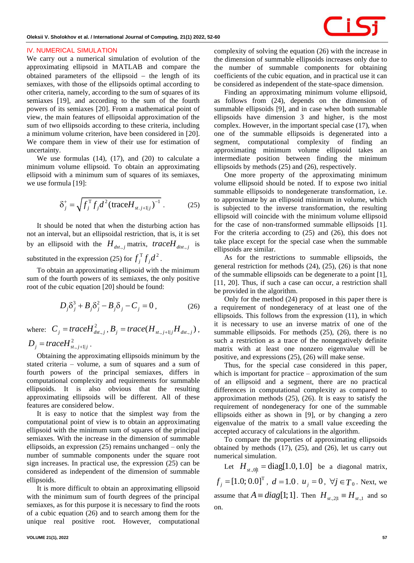#### **IV. NUMERICAL SIMULATION**

We carry out a numerical simulation of evolution of the approximating ellipsoid in MATLAB and compare the obtained parameters of the ellipsoid − the length of its semiaxes, with those of the ellipsoids optimal according to other criteria, namely, according to the sum of squares of its semiaxes [19], and according to the sum of the fourth powers of its semiaxes [20]. From a mathematical point of view, the main features of ellipsoidal approximation of the sum of two ellipsoids according to these criteria, including a minimum volume criterion, have been considered in [20]. We compare them in view of their use for estimation of uncertainty.

We use formulas  $(14)$ ,  $(17)$ , and  $(20)$  to calculate a minimum volume ellipsoid. To obtain an approximating ellipsoid with a minimum sum of squares of its semiaxes, we use formula [19]:

$$
\delta_j^+ = \sqrt{f_j^{\rm T} f_j d^2 (\text{trace} H_{st. j+1|j})^{-1}} \ . \tag{25}
$$

It should be noted that when the disturbing action has not an interval, but an ellipsoidal restriction, that is, it is set by an ellipsoid with the  $H_{dst,j}$  matrix, *trace* $H_{dist,j}$  is substituted in the expression (25) for  $f_j^T f_j d^2$ .

To obtain an approximating ellipsoid with the minimum sum of the fourth powers of its semiaxes, the only positive root of the cubic equation [20] should be found:

$$
D_j \delta_j^3 + B_j \delta_j^2 - B_j \delta_j - C_j = 0, \qquad (26)
$$

where:  $C_j = \text{trace} H_{dst,j}^2$ ,  $B_j = \text{trace}(H_{st,j+1|j}H_{dst,j})$ ,  $D_{j} = traceH_{st., j+1|j}^{2}$ .

Obtaining the approximating ellipsoids minimum by the stated criteria – volume, a sum of squares and a sum of fourth powers of the principal semiaxes, differs in computational complexity and requirements for summable ellipsoids. It is also obvious that the resulting approximating ellipsoids will be different. All of these features are considered below.

It is easy to notice that the simplest way from the computational point of view is to obtain an approximating ellipsoid with the minimum sum of squares of the principal semiaxes. With the increase in the dimension of summable ellipsoids, an expression (25) remains unchanged – only the number of summable components under the square root sign increases. In practical use, the expression (25) can be considered as independent of the dimension of summable ellipsoids.

It is more difficult to obtain an approximating ellipsoid with the minimum sum of fourth degrees of the principal semiaxes, as for this purpose it is necessary to find the roots of a cubic equation (26) and to search among them for the unique real positive root. However, computational

complexity of solving the equation (26) with the increase in the dimension of summable ellipsoids increases only due to the number of summable components for obtaining coefficients of the cubic equation, and in practical use it can be considered as independent of the state-space dimension.

Finding an approximating minimum volume ellipsoid, as follows from (24), depends on the dimension of summable ellipsoids [9], and in case when both summable ellipsoids have dimension 3 and higher, is the most complex. However, in the important special case (17), when one of the summable ellipsoids is degenerated into a segment, computational complexity of finding an approximating minimum volume ellipsoid takes an intermediate position between finding the minimum ellipsoids by methods (25) and (26), respectively.

One more property of the approximating minimum volume ellipsoid should be noted. If to expose two initial summable ellipsoids to nondegenerate transformation, i.e. to approximate by an ellipsoid minimum in volume, which is subjected to the inverse transformation, the resulting ellipsoid will coincide with the minimum volume ellipsoid for the case of non-transformed summable ellipsoids [1]. For the criteria according to (25) and (26), this does not take place except for the special case when the summable ellipsoids are similar.

As for the restrictions to summable ellipsoids, the general restriction for methods (24), (25), (26) is that none of the summable ellipsoids can be degenerate to a point [1], [11, 20]. Thus, if such a case can occur, a restriction shall be provided in the algorithm.

Only for the method (24) proposed in this paper there is a requirement of nondegeneracy of at least one of the ellipsoids. This follows from the expression (11), in which it is necessary to use an inverse matrix of one of the summable ellipsoids. For methods  $(25)$ ,  $(26)$ , there is no such a restriction as a trace of the nonnegatively definite matrix with at least one nonzero eigenvalue will be positive, and expressions (25), (26) will make sense.

Thus, for the special case considered in this paper, which is important for practice – approximation of the sum of an ellipsoid and a segment, there are no practical differences in computational complexity as compared to approximation methods (25), (26). It is easy to satisfy the requirement of nondegeneracy for one of the summable ellipsoids either as shown in [9], or by changing a zero eigenvalue of the matrix to a small value exceeding the accepted accuracy of calculations in the algorithm.

To compare the properties of approximating ellipsoids obtained by methods (17), (25), and (26), let us carry out numerical simulation.

Let  $H_{st,0|l} = \text{diag}[1.0, 1.0]$  be a diagonal matrix,  $f_j = [1.0; 0.0]^T$ ,  $d = 1.0$ .  $u_j = 0$ ,  $\forall j \in T_0$ . Next, we assume that  $A \equiv diag[1; 1]$ . Then  $H_{st, 2|1} \equiv H_{st, 1}$  and so on.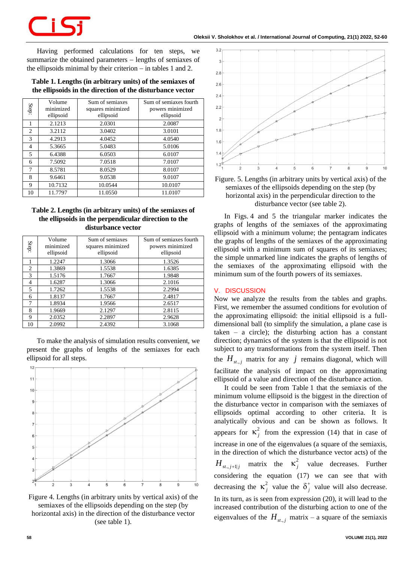Having performed calculations for ten steps, we summarize the obtained parameters − lengths of semiaxes of the ellipsoids minimal by their criterion − in tables 1 and 2.

### **Table 1. Lengths (in arbitrary units) of the semiaxes of the ellipsoids in the direction of the disturbance vector**

| Step:          | Volume<br>minimized<br>ellipsoid | Sum of semiaxes<br>squares minimized<br>ellipsoid | Sum of semiaxes fourth<br>powers minimized<br>ellipsoid |
|----------------|----------------------------------|---------------------------------------------------|---------------------------------------------------------|
|                | 2.1213                           | 2.0301                                            | 2.0087                                                  |
| $\overline{2}$ | 3.2112                           | 3.0402                                            | 3.0101                                                  |
| 3              | 4.2913                           | 4.0452                                            | 4.0540                                                  |
| $\overline{4}$ | 5.3665                           | 5.0483                                            | 5.0106                                                  |
| 5              | 6.4388                           | 6.0503                                            | 6.0107                                                  |
| 6              | 7.5092                           | 7.0518                                            | 7.0107                                                  |
| 7              | 8.5781                           | 8.0529                                            | 8.0107                                                  |
| 8              | 9.6461                           | 9.0538                                            | 9.0107                                                  |
| 9              | 10.7132                          | 10.0544                                           | 10.0107                                                 |
| 10             | 11.7797                          | 11.0550                                           | 11.0107                                                 |

# **Table 2. Lengths (in arbitrary units) of the semiaxes of the ellipsoids in the perpendicular direction to the disturbance vector**

| Step:          | Volume<br>minimized<br>ellipsoid | Sum of semiaxes<br>squares minimized<br>ellipsoid | Sum of semiaxes fourth<br>powers minimized<br>ellipsoid |
|----------------|----------------------------------|---------------------------------------------------|---------------------------------------------------------|
|                | 1.2247                           | 1.3066                                            | 1.3526                                                  |
| $\overline{c}$ | 1.3869                           | 1.5538                                            | 1.6385                                                  |
| 3              | 1.5176                           | 1.7667                                            | 1.9848                                                  |
| 4              | 1.6287                           | 1.3066                                            | 2.1016                                                  |
| 5              | 1.7262                           | 1.5538                                            | 2.2994                                                  |
| 6              | 1.8137                           | 1.7667                                            | 2.4817                                                  |
| 7              | 1.8934                           | 1.9566                                            | 2.6517                                                  |
| 8              | 1.9669                           | 2.1297                                            | 2.8115                                                  |
| 9              | 2.0352                           | 2.2897                                            | 2.9628                                                  |
| 10             | 2.0992                           | 2.4392                                            | 3.1068                                                  |

To make the analysis of simulation results convenient, we present the graphs of lengths of the semiaxes for each ellipsoid for all steps.







Figure. 5. Lengths (in arbitrary units by vertical axis) of the semiaxes of the ellipsoids depending on the step (by horizontal axis) in the perpendicular direction to the disturbance vector (see table 2).

In Figs. 4 and 5 the triangular marker indicates the graphs of lengths of the semiaxes of the approximating ellipsoid with a minimum volume; the pentagram indicates the graphs of lengths of the semiaxes of the approximating ellipsoid with a minimum sum of squares of its semiaxes; the simple unmarked line indicates the graphs of lengths of the semiaxes of the approximating ellipsoid with the minimum sum of the fourth powers of its semiaxes.

#### **V. DISCUSSION**

Now we analyze the results from the tables and graphs. First, we remember the assumed conditions for evolution of the approximating ellipsoid: the initial ellipsoid is a fulldimensional ball (to simplify the simulation, a plane case is taken – a circle); the disturbing action has a constant direction; dynamics of the system is that the ellipsoid is not subject to any transformations from the system itself. Then the  $H_{st,j}$  matrix for any  $j$  remains diagonal, which will facilitate the analysis of impact on the approximating ellipsoid of a value and direction of the disturbance action.

It could be seen from Table 1 that the semiaxis of the minimum volume ellipsoid is the biggest in the direction of the disturbance vector in comparison with the semiaxes of ellipsoids optimal according to other criteria. It is analytically obvious and can be shown as follows. It appears for  $\kappa_j^2$  from the expression (14) that in case of increase in one of the eigenvalues (a square of the semiaxis, in the direction of which the disturbance vector acts) of the  $H_{st,j+1|j}$  matrix the  $\kappa_j^2$  value decreases. Further considering the equation (17) we can see that with decreasing the  $\kappa_j^2$  value the  $\delta_j^*$  $\delta^+$ , value will also decrease. In its turn, as is seen from expression (20), it will lead to the increased contribution of the disturbing action to one of the eigenvalues of the  $H_{st,j}$  matrix – a square of the semiaxis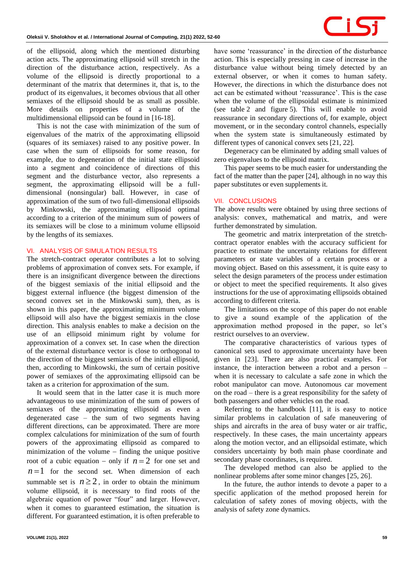of the ellipsoid, along which the mentioned disturbing action acts. The approximating ellipsoid will stretch in the direction of the disturbance action, respectively. As a volume of the ellipsoid is directly proportional to a determinant of the matrix that determines it, that is, to the product of its eigenvalues, it becomes obvious that all other semiaxes of the ellipsoid should be as small as possible. More details on properties of a volume of the multidimensional ellipsoid can be found in [16-18].

This is not the case with minimization of the sum of eigenvalues of the matrix of the approximating ellipsoid (squares of its semiaxes) raised to any positive power. In case when the sum of ellipsoids for some reason, for example, due to degeneration of the initial state ellipsoid into a segment and coincidence of directions of this segment and the disturbance vector, also represents a segment, the approximating ellipsoid will be a fulldimensional (nonsingular) ball. However, in case of approximation of the sum of two full-dimensional ellipsoids by Minkowski, the approximating ellipsoid optimal according to a criterion of the minimum sum of powers of its semiaxes will be close to a minimum volume ellipsoid by the lengths of its semiaxes.

### **VI. ANALYSIS OF SIMULATION RESULTS**

The stretch-contract operator contributes a lot to solving problems of approximation of convex sets. For example, if there is an insignificant divergence between the directions of the biggest semiaxis of the initial ellipsoid and the biggest external influence (the biggest dimension of the second convex set in the Minkowski sum), then, as is shown in this paper, the approximating minimum volume ellipsoid will also have the biggest semiaxis in the close direction. This analysis enables to make a decision on the use of an ellipsoid minimum right by volume for approximation of a convex set. In case when the direction of the external disturbance vector is close to orthogonal to the direction of the biggest semiaxis of the initial ellipsoid, then, according to Minkowski, the sum of certain positive power of semiaxes of the approximating ellipsoid can be taken as a criterion for approximation of the sum.

It would seem that in the latter case it is much more advantageous to use minimization of the sum of powers of semiaxes of the approximating ellipsoid as even a degenerated case – the sum of two segments having different directions, can be approximated. There are more complex calculations for minimization of the sum of fourth powers of the approximating ellipsoid as compared to minimization of the volume − finding the unique positive root of a cubic equation – only if  $n = 2$  for one set and  $n=1$  for the second set. When dimension of each summable set is  $n \geq 2$ , in order to obtain the minimum volume ellipsoid, it is necessary to find roots of the algebraic equation of power "four" and larger. However, when it comes to guaranteed estimation, the situation is different. For guaranteed estimation, it is often preferable to

have some 'reassurance' in the direction of the disturbance action. This is especially pressing in case of increase in the disturbance value without being timely detected by an external observer, or when it comes to human safety. However, the directions in which the disturbance does not act can be estimated without 'reassurance'. This is the case when the volume of the ellipsoidal estimate is minimized (see table 2 and figure 5). This will enable to avoid reassurance in secondary directions of, for example, object movement, or in the secondary control channels, especially when the system state is simultaneously estimated by different types of canonical convex sets [21, 22].

Degeneracy can be eliminated by adding small values of zero eigenvalues to the ellipsoid matrix.

This paper seems to be much easier for understanding the fact of the matter than the paper [24], although in no way this paper substitutes or even supplements it.

#### **VII. CONCLUSIONS**

The above results were obtained by using three sections of analysis: convex, mathematical and matrix, and were further demonstrated by simulation.

The geometric and matrix interpretation of the stretchcontract operator enables with the accuracy sufficient for practice to estimate the uncertainty relations for different parameters or state variables of a certain process or a moving object. Based on this assessment, it is quite easy to select the design parameters of the process under estimation or object to meet the specified requirements. It also gives instructions for the use of approximating ellipsoids obtained according to different criteria.

The limitations on the scope of this paper do not enable to give a sound example of the application of the approximation method proposed in the paper, so let's restrict ourselves to an overview.

The comparative characteristics of various types of canonical sets used to approximate uncertainty have been given in [23]. There are also practical examples. For instance, the interaction between a robot and a person – when it is necessary to calculate a safe zone in which the robot manipulator can move. Autonomous car movement on the road – there is a great responsibility for the safety of both passengers and other vehicles on the road.

Referring to the handbook [11], it is easy to notice similar problems in calculation of safe maneuvering of ships and aircrafts in the area of busy water or air traffic, respectively. In these cases, the main uncertainty appears along the motion vector, and an ellipsoidal estimate, which considers uncertainty by both main phase coordinate and secondary phase coordinates, is required.

The developed method can also be applied to the nonlinear problems after some minor changes [25, 26].

In the future, the author intends to devote a paper to a specific application of the method proposed herein for calculation of safety zones of moving objects, with the analysis of safety zone dynamics.